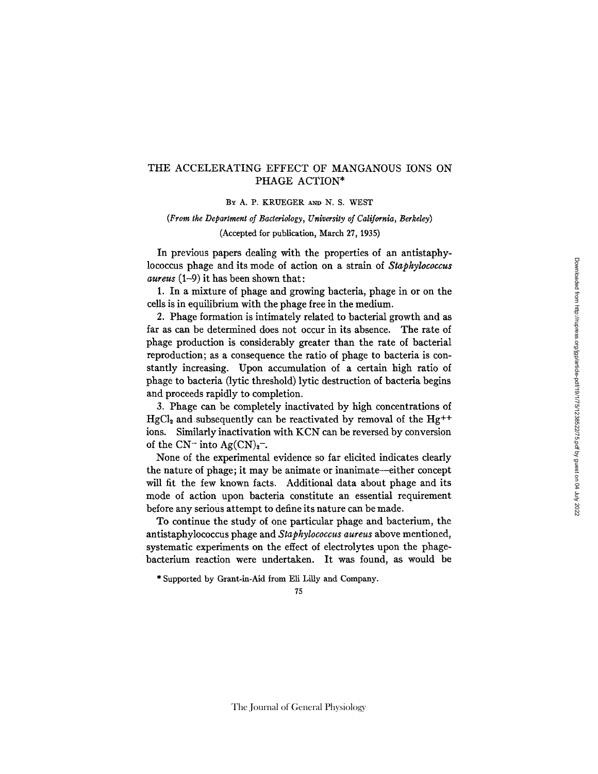# THE ACCELERATING EFFECT OF MANGANOUS IONS ON PHAGE ACTION\*

#### BY A. P. KRUEGER AND N. S. WEST

# *(From the Department of Bacteriology, University of California, Berkeley)*  (Accepted for publication, March 27, 1935)

In previous papers dealing with the properties of an antistaphylococcus phage and its mode of action on a strain of *Staphylococcus aureus* (1-9) it has been shown that:

1. In a mixture of phage and growing bacteria, phage in or on the cells is in equilibrium with the phage free in the medium.

2. Phage formation is intimately related to bacterial growth and as far as can be determined does not occur in its absence. The rate of phage production is considerably greater than the rate of bacterial reproduction; as a consequence the ratio of phage to bacteria is constantly increasing. Upon accumulation of a certain high ratio of phage to bacteria (lyric threshold) lyric destruction of bacteria begins and proceeds rapidly to completion.

3. Phage can be completely inactivated by high concentrations of  $HgCl<sub>2</sub>$  and subsequently can be reactivated by removal of the Hg<sup>++</sup> ions. Similarly inactivation with KCN can be reversed by conversion of the  $CN^-$  into  $Ag(CN)_2$ .

None of the experimental evidence so far elicited indicates clearly the nature of phage; it may be animate or inanimate--either concept will fit the few known facts. Additional data about phage and its mode of action upon bacteria constitute an essential requirement before any serious attempt to define its nature can be made.

To continue the study of one particular phage and bacterium, the antistaphylococcus phage and *Staphylococcus aureus* above mentioned, systematic experiments on the effect of electrolytes upon the phagebacterium reaction were undertaken. It was found, as would be

\* Supported by Grant-in-Aid from Eli Lilly and Company.

# 75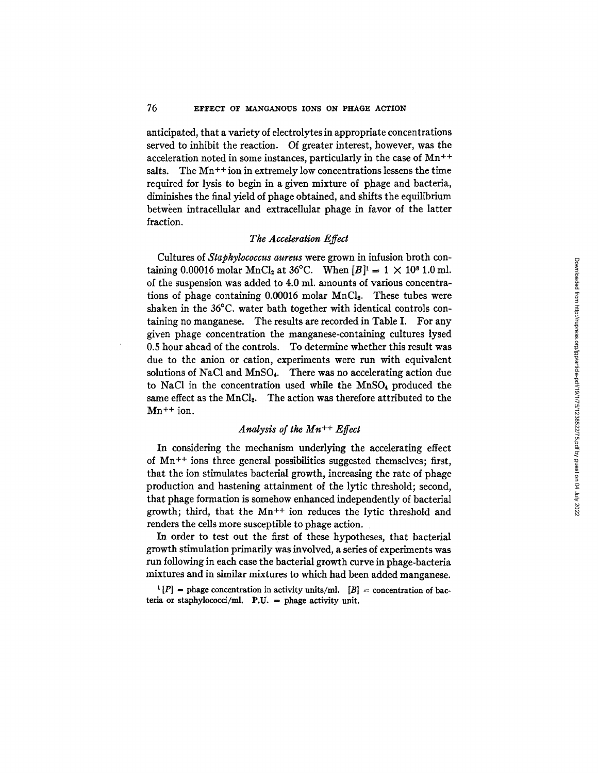# 76 EFFECT OF MANGANOUS IONS ON PHAGE ACTION

anticipated, that a variety of electrolytes in appropriate concentrations served to inhibit the reaction. Of greater interest, however, was the acceleration noted in some instances, particularly in the case of Mn<sup>++</sup> salts. The  $Mn^{++}$  ion in extremely low concentrations lessens the time required for lysis to begin in a given mixture of phage and bacteria, diminishes the final yield of phage obtained, and shifts the equilibrium between intracellular and extracellular phage in favor of the latter fraction.

## *The Acceleration Effect*

Cultures of *Staphylococcus aureus* were grown in infusion broth containing 0.00016 molar MnCl<sub>2</sub> at 36°C. When  $[B]$ <sup>1</sup> = 1 × 10<sup>8</sup> 1.0 ml. of the suspension was added to 4.0 ml. amounts of various concentrations of phage containing  $0.00016$  molar MnCl<sub>2</sub>. These tubes were shaken in the 36°C. water bath together with identical controls containing no manganese. The results are recorded in Table I. For any given phage concentration the manganese-containing cultures lysed 0.5 hour ahead of the controls. To determine whether this result was due to the anion or cation, experiments were run with equivalent solutions of NaCl and MnSO<sub>4</sub>. There was no accelerating action due to NaC1 in the concentration used while the MnSO4 produced the same effect as the MnCl<sub>2</sub>. The action was therefore attributed to the  $Mn^{++}$  ion.

## *Analysis of the Mn ++ Effect*

In considering the mechanism underlying the accelerating effect of  $Mn^{++}$  ions three general possibilities suggested themselves; first, that the ion stimulates bacterial growth, increasing the rate of phage production and hastening attainment of the lytic threshold; second, that phage formation is somehow enhanced independently of bacterial growth; third, that the Mn++ ion reduces the lytic threshold and renders the ceils more susceptible to phage action.

In order to test out the first of these hypotheses, that bacterial growth stimulation primarily was involved, a series of experiments was run following in each case the bacterial growth curve in phage-bacteria mixtures and in similar mixtures to which had been added manganese.

 $t [P] =$  phage concentration in activity units/ml.  $[B] =$  concentration of bacteria or staphylococci/ml. P.U. = phage activity unit.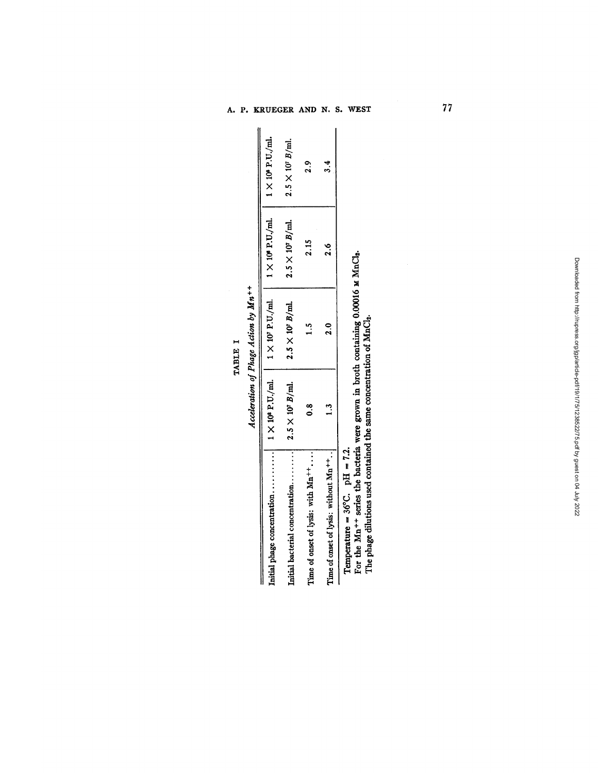$\ddotplus$ 

|                                                  |                           | $1 \times 10^{7}$ P.U./ml. | $1 \times 10^6$ P.U,/ml.  | $1 \times 10^{6}$ P.U./ml. |
|--------------------------------------------------|---------------------------|----------------------------|---------------------------|----------------------------|
| Initial bacterial concentration                  | $2.5 \times 10^{7}$ B/ml. | $2.5 \times 10^{7}$ B/ml.  | $2.5 \times 10^{7}$ B/ml. | $2.5 \times 10^{7}$ B/ml.  |
| Time of onset of lysis: with Mn <sup>++</sup>    | $\frac{8}{9}$             | د.<br>ب                    | 2.15                      | $\frac{2}{3}$              |
| Time of onset of lysis: without Mn <sup>++</sup> | $\frac{3}{1}$             | $\frac{5}{2}$              | $\frac{6}{2}$             | 3.4                        |
| $T = T_{\rm ex}$ $\sim 260$ $T = T_0$            |                           |                            |                           |                            |

Temperature =  $36^{\circ}$ C. pH =  $7.2$ .<br>For the Mn<sup>++</sup> series the bacteria were grown in broth containing 0.00016 M MnCl<sub>3</sub>.<br>The phage dilutions used contained the same concentration of MnCl<sub>3</sub>.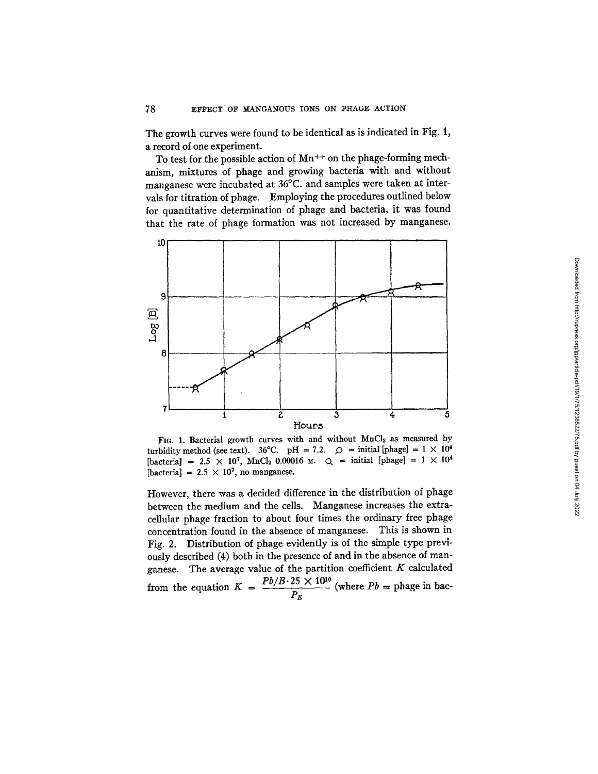The growth curves were found to be identical as is indicated in Fig. 1, a record of one experiment.

To test for the possible action of  $Mn^{++}$  on the phage-forming mechanism, mixtures of phage and growing bacteria with and without manganese were incubated at 36°C. and samples were taken at intervals for titration of phage. Employing the procedures outlined below for quantitative determination of phage and bacteria, it was found that the rate of phage formation was not increased by manganese.



FIG. 1. Bacterial growth curves with and without MnCl<sub>2</sub> as measured by turbidity method (see text). 36°C. pH = 7.2.  $\circ$  = initial [phage] = 1 × 10<sup>4</sup> [bacteria] = 2.5 × 10<sup>7</sup>, MnCl<sub>2</sub> 0.00016 M.  $Q =$  initial [phage] = 1 × 10<sup>4</sup> [bacteria] =  $2.5 \times 10^7$ , no manganese.

However, there was a decided difference in the distribution of phage between the medium and the cells. Manganese increases the extracellular phage fraction to about four times the ordinary free phage concentration found in the absence of manganese. This is shown in Fig. 2. Distribution of phage evidently is of the simple type previously described (4) both in the presence of and in the absence of manganese. The average value of the partition coefficient  $K$  calculated from the equation  $K = \frac{P \partial / B \cdot 25 \times 10^{10}}{P}$  (where  $Pb =$  phage in bac- $\overline{P_{E}}$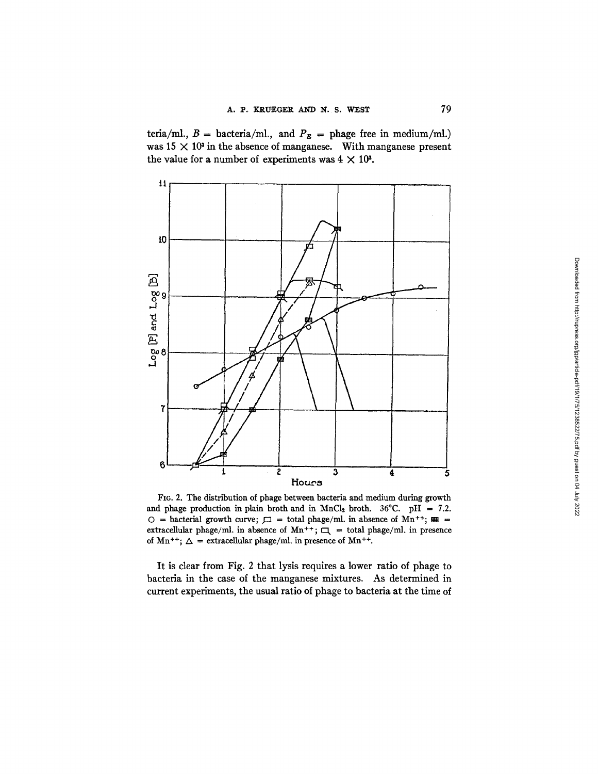teria/ml.,  $B = \text{bacteria/ml}$ ., and  $P_E = \text{phage free in medium/ml}$ .) was  $15 \times 10^3$  in the absence of manganese. With manganese present the value for a number of experiments was  $4 \times 10^3$ .



Fro. 2. The distribution of phage between bacteria and medium during growth and phage production in plain broth and in MnCl<sub>2</sub> broth. 36°C. pH = 7.2. O = bacterial growth curve;  $\square$  = total phage/ml. in absence of Mn<sup>++</sup>;  $\equiv$  = extracellular phage/ml. in absence of Mn<sup>++</sup>;  $\Box$  = total phage/ml. in presence of Mn<sup>++</sup>;  $\Delta$  = extracellular phage/ml, in presence of Mn<sup>++</sup>.

It is clear from Fig. 2 that lysis requires a lower ratio of phage to bacteria in the case of the manganese mixtures. As determined in current experiments, the usual ratio of phage to bacteria at the time of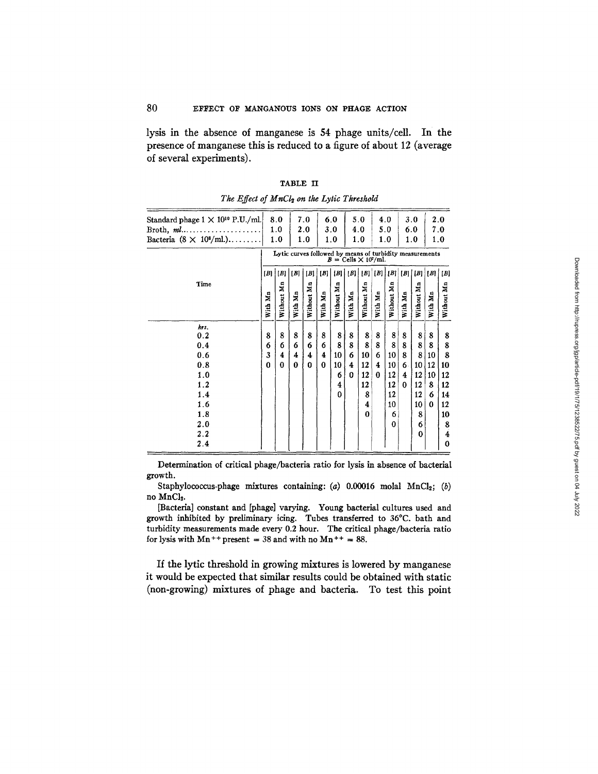lysis in the absence of manganese is 54 phage units/cell. In the presence of manganese this is reduced to a figure of about 12 (average of several experiments).

| Standard phage $1 \times 10^{10}$ P.U./ml.<br>Broth, $ml$<br>Bacteria $(8 \times 10^8/\text{ml.})$ | 8.0<br>1.0<br>1.0                                                                                     |            | 7.0<br>2.0<br>1.0 |            | 6.0<br>3.0<br>1.0 |            | 5.0<br>4.0<br>1.0 |            | 4.0<br>5.0<br>1.0 |            | 3.0<br>6.0<br>1.0 |            | 2.0<br>7.0<br>1.0 |            |
|----------------------------------------------------------------------------------------------------|-------------------------------------------------------------------------------------------------------|------------|-------------------|------------|-------------------|------------|-------------------|------------|-------------------|------------|-------------------|------------|-------------------|------------|
|                                                                                                    | Lytic curves followed by means of turbidity measurements<br>$B = \text{Cells} \times 10^7/\text{ml}.$ |            |                   |            |                   |            |                   |            |                   |            |                   |            |                   |            |
|                                                                                                    | B                                                                                                     | [B]        | [B]               | [B]        | [B]               | B          | B                 |            | $ B $ $ B $       | [B]        |                   | [B]   [B]  | B                 | $[B]$      |
| Time                                                                                               | With Mn                                                                                               | Without Mn | With Mn           | Without Mn | With Mn           | Without Mn | With Mn           | Without Mn | With Mn           | Without Mn | With Mn           | Without Mn | With Mn           | Without Mn |
| hrs.                                                                                               |                                                                                                       |            |                   |            |                   |            |                   |            |                   |            |                   |            |                   |            |
| 0.2                                                                                                | 8                                                                                                     | 8          | 8                 | 8          | 8                 | 8          | 8                 | 8          | 8                 | 8          | 8                 | 8          | 8                 | 8          |
| 0.4                                                                                                | 6                                                                                                     | 6          | 6                 | 6          | 6                 | 8          | 8                 | 8          | 8                 | 8          | 8                 | 8          | 8                 | 8          |
| 0.6                                                                                                | 3                                                                                                     | 4          | 4                 | 4          | 4                 | 10         | 6                 | 10         | 6                 | 10         | 8                 | 8          | 10                | 8          |
| 0.8                                                                                                | 0                                                                                                     | 0          | $\bf{0}$          | $\bf{0}$   | 0                 | 10         | 4                 | 12         | 4                 | 10         | 6                 | 10         | 12                | 10         |
| 1.0                                                                                                |                                                                                                       |            |                   |            |                   | 6          | $\Omega$          | 12         | 0                 | 12         | 4                 | 12         | 10                | 12         |
| 1.2                                                                                                |                                                                                                       |            |                   |            |                   | 4          |                   | 12         |                   | 12         | 0                 | 12         | 8                 | 12         |
| 1.4                                                                                                |                                                                                                       |            |                   |            |                   | $\Omega$   |                   | 8          |                   | 12         |                   | 12         | 6                 | 14         |
| 1.6                                                                                                |                                                                                                       |            |                   |            |                   |            |                   | 4          |                   | 10         |                   | 10         | 0                 | 12         |
| 1.8                                                                                                |                                                                                                       |            |                   |            |                   |            |                   | 0          |                   | 6          |                   | 8          |                   | 10         |
| 2.0                                                                                                |                                                                                                       |            |                   |            |                   |            |                   |            |                   | $\bf{0}$   |                   | 6          |                   | 8          |
| 2.2                                                                                                |                                                                                                       |            |                   |            |                   |            |                   |            |                   |            |                   | 0          |                   | 4          |
| 2.4                                                                                                |                                                                                                       |            |                   |            |                   |            |                   |            |                   |            |                   |            |                   | $\bf{0}$   |

TABLE II *The Effect of MnCI~ on the Lyric Threskold* 

Determination of critical phage/bacteria ratio for lysis in absence of bacterial growth.

Staphylococcus-phage mixtures containing: (a)  $0.00016$  molal MnCl<sub>2</sub>; (b) no MnCl<sub>2</sub>.

[Bacteria] constant and [phage] varying. Young bacterial cultures used and growth inhibited by preliminary icing. Tubes transferred to 36°C. bath and turbidity measurements made every 0.2 hour. The critical phage/bacteria ratio for lysis with  $Mn^{++}$  present = 38 and with no  $Mn^{++}$  = 88.

If the lytic threshold in growing mixtures is lowered by manganese it would be expected that similar results could be obtained with static (non-growing) mixtures of phage and bacteria. To test this point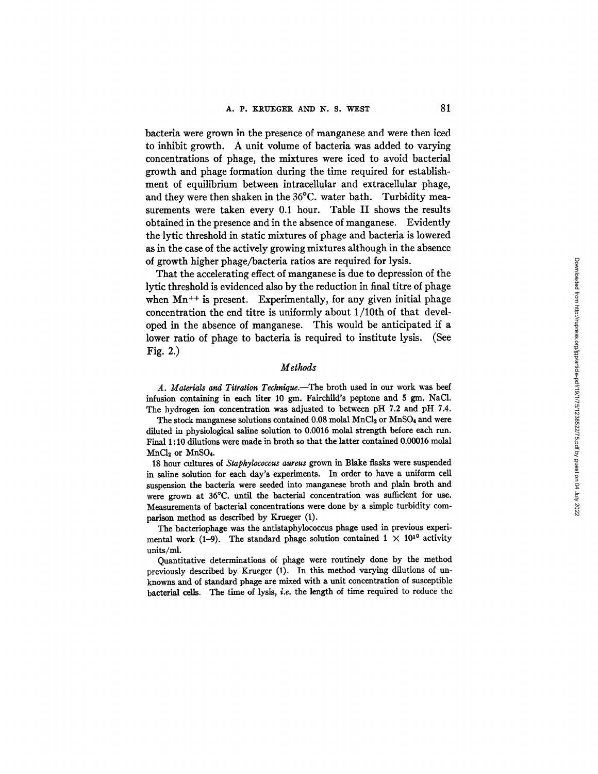bacteria were grown in the presence of manganese and were then iced to inhibit growth. A unit volume of bacteria was added to varying concentrations of phage, the mixtures were iced to avoid bacterial growth and phage formation during the time required for establishment of equilibrium between intracellular and extracellular phage, and they were then shaken in the 36°C. water bath. Turbidity measurements were taken every 0.1 hour. Table II shows the results obtained in the presence and in the absence of manganese. Evidently the lytic threshold in static mixtures of phage and bacteria is lowered as in the case of the actively growing mixtures although in the absence of growth higher phage/bacteria ratios are required for lysis.

That the accelerating effect of manganese is due to depression of the lyric threshold is evidenced also by the reduction in final titre of phage when  $Mn^{++}$  is present. Experimentally, for any given initial phage concentration the end titre is uniformly about 1/10th of that developed in the absence of manganese. This would be anticipated if a lower ratio of phage to bacteria is required to institute lysis. (See Fig. 2.)

#### *Methods*

*A. Materials and Titration Technique.--The* broth used in our work was beef infusion containing in each liter 10 gm. Fairchild's peptone and 5 gm. NaCl. The hydrogen ion concentration was adjusted to between pH 7.2 and pH 7.4.

The stock manganese solutions contained 0.08 molal MnCl<sub>2</sub> or MnSO<sub>4</sub> and were diluted in physiological saline solution to 0.0016 molal strength before each run. Final l : 10 dilutions were made in broth so that the latter contained 0.00016 molal  $MnCl<sub>2</sub>$  or  $MnSO<sub>4</sub>$ .

18 hour cultures of *Staphylococcus aureus* grown in Blake flasks were suspended in saline solution for each day's experiments. In order to have a uniform cell suspension the bacteria were seeded into manganese broth and plain broth and were grown at 36°C. until the bacterial concentration was sufficient for use. Measurements of bacterial concentrations were done by a simple turbidity comparison method as described by Krueger (1).

The bacteriophage was the antistaphylococcus phage used in previous experimental work (1-9). The standard phage solution contained  $1 \times 10^{10}$  activity units/ml.

Quantitative determinations of phage were routinely done by the method previously described by Krueger (1). In this method varying dilutions of unknowns and of standard phage are mixed with a unit concentration of susceptible bacterial cells. The time of lysis, *i.e. the* length of time required to reduce the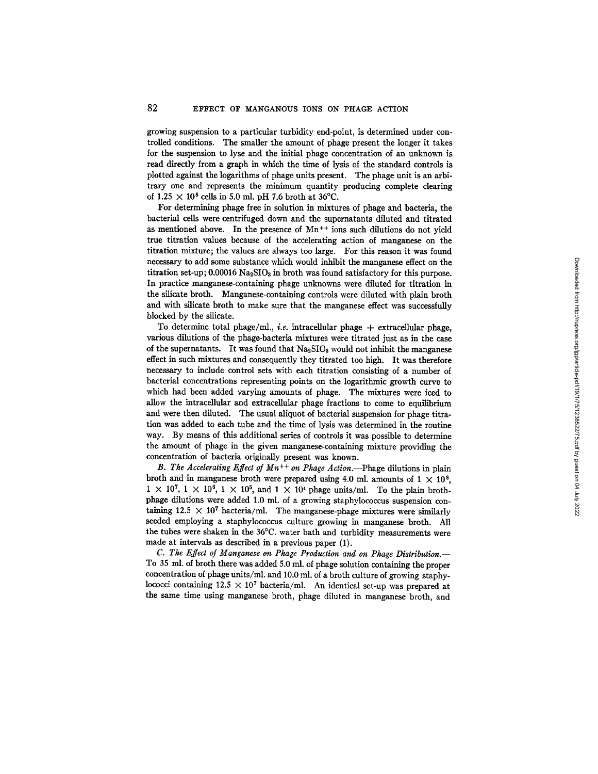growing suspension to a particular turbidity end-point, is determined under controlled conditions. The smaller the amount of phage present the longer it takes for the suspension to lyse and the initial phage concentration of an unknown is read directly from a graph in which the time of lysis of the standard controls is plotted against the logarithms of phage units present. The phage unit is an arbitrary one and represents the minimum quantity producing complete clearing of  $1.25 \times 10^8$  cells in 5.0 ml. pH 7.6 broth at 36°C.

For determining phage free in solution in mixtures of phage and bacteria, the bacterial cells were centrifuged down and the supernatants diluted and titrated as mentioned above. In the presence of  $Mn^{++}$  ions such dilutions do not yield true titration values because of the accelerating action of manganese on the titration mixture; the values are always too large. For this reason it was found necessary to add some substance which would inhibit the manganese effect on the titration set-up;  $0.00016$  Na<sub>2</sub>SIO<sub>3</sub> in broth was found satisfactory for this purpose. In practice manganese-containing phage unknowns were diluted for titration in the silicate broth. Manganese-containing controls were diluted with plain broth and with silicate broth to make sure that the manganese effect was successfully blocked by the silicate.

To determine total phage/ml., *i.e.* intracellular phage + extracellular phage, various dilutions of the phage-bacteria mixtures were titrated just as in the case of the supernatants. It was found that  $Na<sub>2</sub>SIO<sub>3</sub>$  would not inhibit the manganese effect in such mixtures and consequently they titrated too high. It was therefore necessary to include control sets with each titration consisting of a number of bacterial concentrations representing points on the logarithmic growth curve to which had been added varying amounts of phage. The mixtures were iced to allow the intracellular and extracellular phage fractions to come to equilibrium and were then diluted. The usual aliquot of bacterial suspension for phage titration was added to each tube and the time of lysis was determined in the routine way. By means of this additional series of controls it was possible to determine the amount of phage in the given manganese-containing mixture providing the concentration of bacteria originally present was known.

*B. The Accelerating Effect of Mn<sup>++</sup> on Phage Action.*--Phage dilutions in plain broth and in manganese broth were prepared using 4.0 ml. amounts of  $1 \times 10^8$ ,  $1 \times 10^7$ ,  $1 \times 10^6$ ,  $1 \times 10^5$ , and  $1 \times 10^4$  phage units/ml. To the plain brothphage dilutions were added 1.0 ml. of a growing staphylococcus suspension containing  $12.5 \times 10^7$  bacteria/ml. The manganese-phage mixtures were similarly seeded employing a staphylococcus culture growing in manganese broth. All the tubes were shaken in the 36°C. water bath and turbidity measurements were made at intervals as described in a previous paper (1).

*C. Tke Effect of Manganese on Phage Production and on Phage Distribution.--*  To 35 ml. of broth there was added 5.0 ml. of phage solution containing the proper concentration of phage units/ml, and 10.0 ml. of a broth culture of growing staphylococci containing  $12.5 \times 10^7$  bacteria/ml. An identical set-up was prepared at the same time using manganese broth, phage diluted in manganese broth, and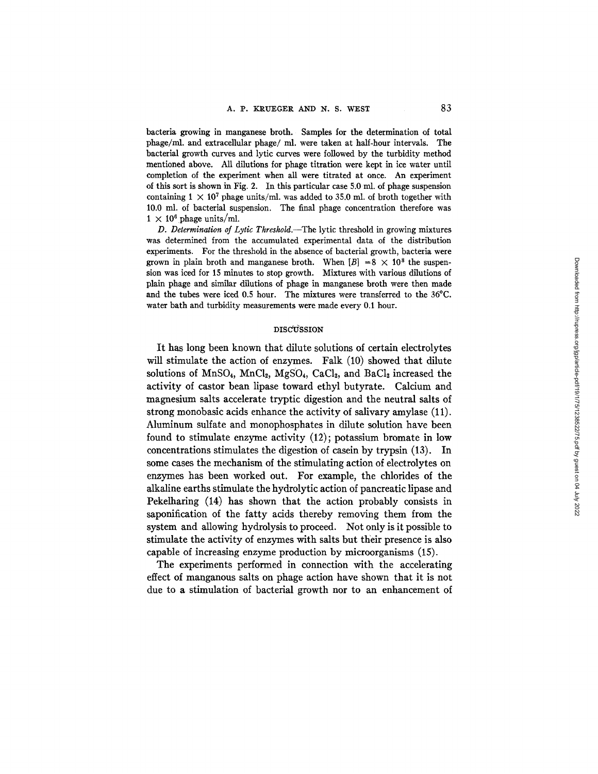bacteria growing in manganese broth. Samples for the determination of total phage/ml, and extracellular phage/ml, were taken at half-hour intervals. The bacterial growth curves and lytic curves were followed by the turbidity method mentioned above. All dilutions for phage titration were kept in ice water until completion of the experiment when all were titrated at once. An experiment of this sort is shown in Fig. 2. In this particular case 5.0 ml. of phage suspension containing  $1 \times 10^7$  phage units/ml, was added to 35.0 ml, of broth together with 10.0 ml. of bacterial suspension. The final phage concentration therefore was  $1 \times 10^6$  phage units/ml.

*D. Determination o/Lytic Threshold.--The* lytic threshold in growing mixtures was determined from the accumulated experimental data of the distribution experiments. For the threshold in the absence of bacterial growth, bacteria were grown in plain broth and manganese broth. When  $[B] = 8 \times 10^8$  the suspension was iced for 15 minutes to stop growth. Mixtures with various dilutions of plain phage and similar dilutions of phage in manganese broth were then made and the tubes were iced 0.5 hour. The mixtures were transferred to the 36°C. water bath and turbidity measurements were made every 0.1 hour.

#### DISCUSSION

It has long been known that dilute solutions of certain electrolytes will stimulate the action of enzymes. Falk (10) showed that dilute solutions of MnSO<sub>4</sub>, MnCl<sub>2</sub>, MgSO<sub>4</sub>, CaCl<sub>2</sub>, and BaCl<sub>2</sub> increased the activity of castor bean lipase toward ethyl butyrate. Calcium and magnesium salts accelerate tryptic digestion and the neutral salts of strong monobasic acids enhance the activity of salivary amylase (11). Aluminum sulfate and monophosphates in dilute solution have been found to stimulate enzyme activity (12); potassium bromate in low concentrations stimulates the digestion of casein by trypsin (13). In some cases the mechanism of the stimulating action of electrolytes on enzymes has been worked out. For example, the chlorides of the alkaline earths stimulate the hydrolytic action of pancreatic lipase and Pekelharing (14) has shown that the action probably consists in saponification of the fatty acids thereby removing them from the system and allowing hydrolysis to proceed. Not only is it possible to stimulate the activity of enzymes with salts but their presence is also capable of increasing enzyme production by microorganisms (15).

The experiments performed in connection with the accelerating effect of manganous salts on phage action have shown that it is not due to a stimulation of bacterial growth nor to an enhancement of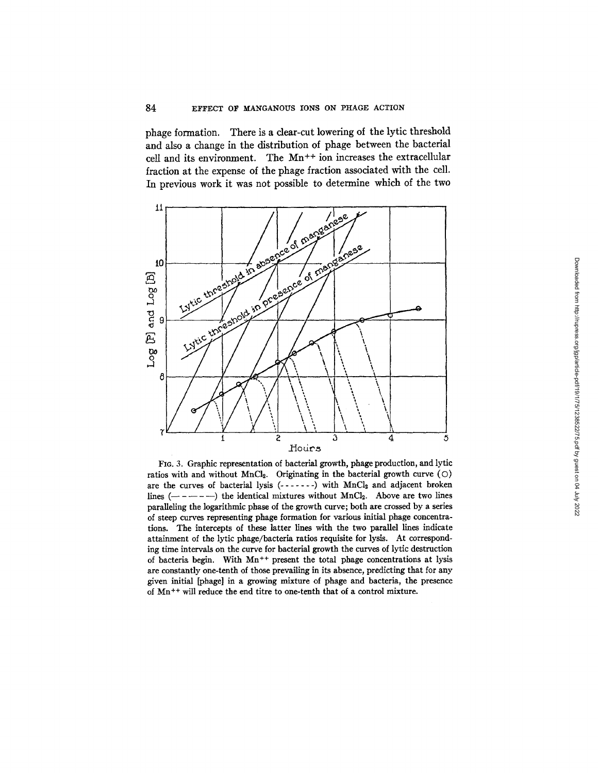## 84 EFFECT OF MANGANOUS IONS ON PHAGE ACTION

phage formation. There is a clear-cut lowering of the lytic threshold and also a change in the distribution of phage between the bacterial cell and its environment. The Mn<sup>++</sup> ion increases the extracellular fraction at the expense of the phage fraction associated with the cell. In previous work it was not possible to determine which of the two



FIo. 3. Graphic representation of bacterial growth, phage production, and lyric ratios with and without MnCl<sub>2</sub>. Originating in the bacterial growth curve  $(O)$ are the curves of bacterial lysis  $(- - - - - -)$  with MnCl<sub>2</sub> and adjacent broken lines  $(- - - - -)$  the identical mixtures without MnCl<sub>2</sub>. Above are two lines paraUeling the logarithmic phase of the growth curve; both are crossed by a series of steep curves representing phage formation for various initial phage concentrations. The intercepts of these latter lines with the two parallel lines indicate attainment of the lyric phage/bacteria ratios requisite for lysis. At corresponding time intervals on the curve for bacterial growth the curves of lytic destruction of bacteria begin. With  $Mn^{++}$  present the total phage concentrations at lysis are constantly one-tenth of those prevailing in its absence, predicting that for any given initial [phage] in a growing mixture of phage and bacteria, the presence of Mn ++ will reduce the end titre to one-tenth that of a control mixture.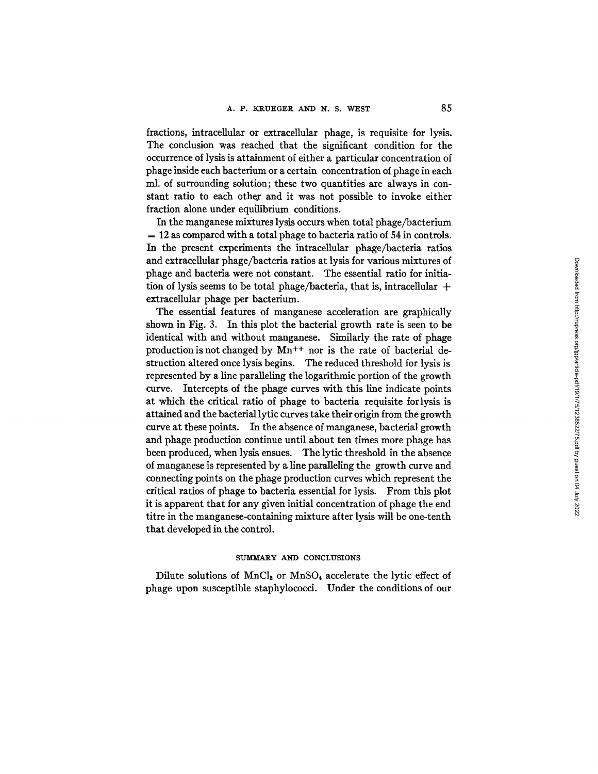fractions, intracellular or extracellular phage, is requisite for lysis. The conclusion was reached that the significant condition for the occurrence of lysis is attainment of either a particular concentration of phage inside each bacterium or a certain concentration of phage in each ml. of surrounding solution; these two quantities are always in constant ratio to each other and it was not possible to invoke either fraction alone under equilibrium conditions.

In the manganese mixtures lysis occurs when total phage/bacterium  $= 12$  as compared with a total phage to bacteria ratio of 54 in controls. In the present experiments the intracellular phage/bacteria ratios and extracellular phage/bacteria ratios at lysis for various mixtures of phage and bacteria were not constant. The essential ratio for initiation of lysis seems to be total phage/bacteria, that is, intracellular  $+$ extracellular phage per bacterium.

The essential features of manganese acceleration are graphically shown in Fig. 3. In this plot the bacterial growth rate is seen to be identical with and without manganese. Similarly the rate of phage production is not changed by Mn++ nor is the rate of bacterial destruction altered once lysis begins. The reduced threshold for lysis is represented by a line paralleling the logarithmic portion of the growth curve. Intercepts of the phage curves with this line indicate points at which the critical ratio of phage to bacteria requisite for lysis is attained and the bacterial lyric curves take their origin from the growth curve at these points. In the absence of manganese, bacterial growth and phage production continue until about ten times more phage has been produced, when lysis ensues. The lyric threshold in the absence of manganese is represented by a line paralleling the growth curve and connecting points on the phage production curves which represent the critical ratios of phage to bacteria essential for lysis. From this plot it is apparent that for any given initial concentration of phage the end titre in the manganese-containing mixture after lysis will be one-tenth that developed in the control.

#### SUMMARY AND CONCLUSIONS

Dilute solutions of  $MnCl<sub>2</sub>$  or  $MnSO<sub>4</sub>$  accelerate the lytic effect of phage upon susceptible staphylococci. Under the conditions of our